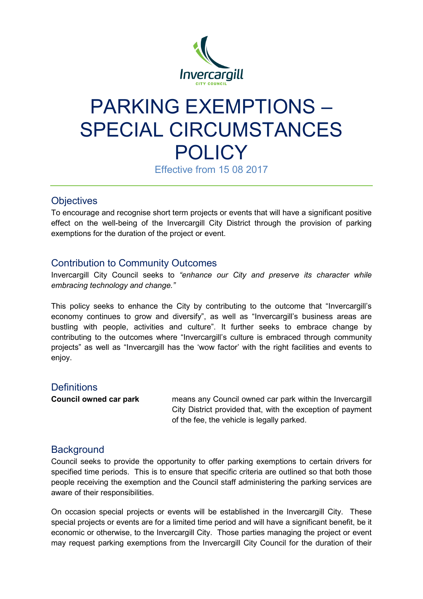

# PARKING EXEMPTIONS – SPECIAL CIRCUMSTANCES **POLICY**

Effective from 15 08 2017

## **Objectives**

To encourage and recognise short term projects or events that will have a significant positive effect on the well-being of the Invercargill City District through the provision of parking exemptions for the duration of the project or event.

## Contribution to Community Outcomes

Invercargill City Council seeks to *"enhance our City and preserve its character while embracing technology and change."* 

This policy seeks to enhance the City by contributing to the outcome that "Invercargill's economy continues to grow and diversify", as well as "Invercargill's business areas are bustling with people, activities and culture". It further seeks to embrace change by contributing to the outcomes where "Invercargill's culture is embraced through community projects" as well as "Invercargill has the 'wow factor' with the right facilities and events to enjoy.

#### **Definitions**

**Council owned car park** means any Council owned car park within the Invercargill City District provided that, with the exception of payment of the fee, the vehicle is legally parked.

## **Background**

Council seeks to provide the opportunity to offer parking exemptions to certain drivers for specified time periods. This is to ensure that specific criteria are outlined so that both those people receiving the exemption and the Council staff administering the parking services are aware of their responsibilities.

On occasion special projects or events will be established in the Invercargill City. These special projects or events are for a limited time period and will have a significant benefit, be it economic or otherwise, to the Invercargill City. Those parties managing the project or event may request parking exemptions from the Invercargill City Council for the duration of their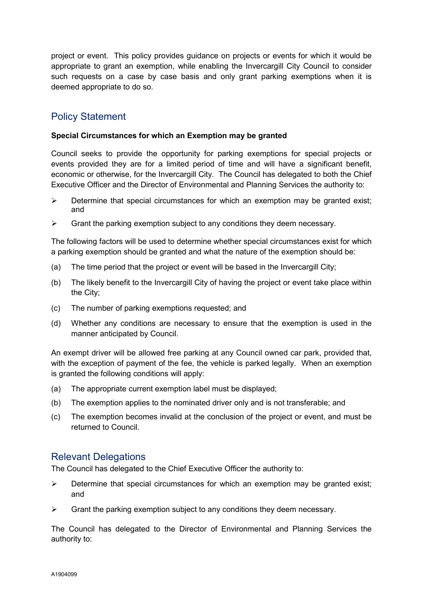project or event. This policy provides guidance on projects or events for which it would be appropriate to grant an exemption, while enabling the Invercargill City Council to consider such requests on a case by case basis and only grant parking exemptions when it is deemed appropriate to do so.

## Policy Statement

#### **Special Circumstances for which an Exemption may be granted**

Council seeks to provide the opportunity for parking exemptions for special projects or events provided they are for a limited period of time and will have a significant benefit, economic or otherwise, for the Invercargill City. The Council has delegated to both the Chief Executive Officer and the Director of Environmental and Planning Services the authority to:

- $\triangleright$  Determine that special circumstances for which an exemption may be granted exist; and
- $\triangleright$  Grant the parking exemption subject to any conditions they deem necessary.

The following factors will be used to determine whether special circumstances exist for which a parking exemption should be granted and what the nature of the exemption should be:

- (a) The time period that the project or event will be based in the Invercargill City;
- (b) The likely benefit to the Invercargill City of having the project or event take place within the City;
- (c) The number of parking exemptions requested; and
- (d) Whether any conditions are necessary to ensure that the exemption is used in the manner anticipated by Council.

An exempt driver will be allowed free parking at any Council owned car park, provided that, with the exception of payment of the fee, the vehicle is parked legally. When an exemption is granted the following conditions will apply:

- (a) The appropriate current exemption label must be displayed;
- (b) The exemption applies to the nominated driver only and is not transferable; and
- (c) The exemption becomes invalid at the conclusion of the project or event, and must be returned to Council.

#### Relevant Delegations

The Council has delegated to the Chief Executive Officer the authority to:

- $\triangleright$  Determine that special circumstances for which an exemption may be granted exist; and
- $\triangleright$  Grant the parking exemption subject to any conditions they deem necessary.

The Council has delegated to the Director of Environmental and Planning Services the authority to: